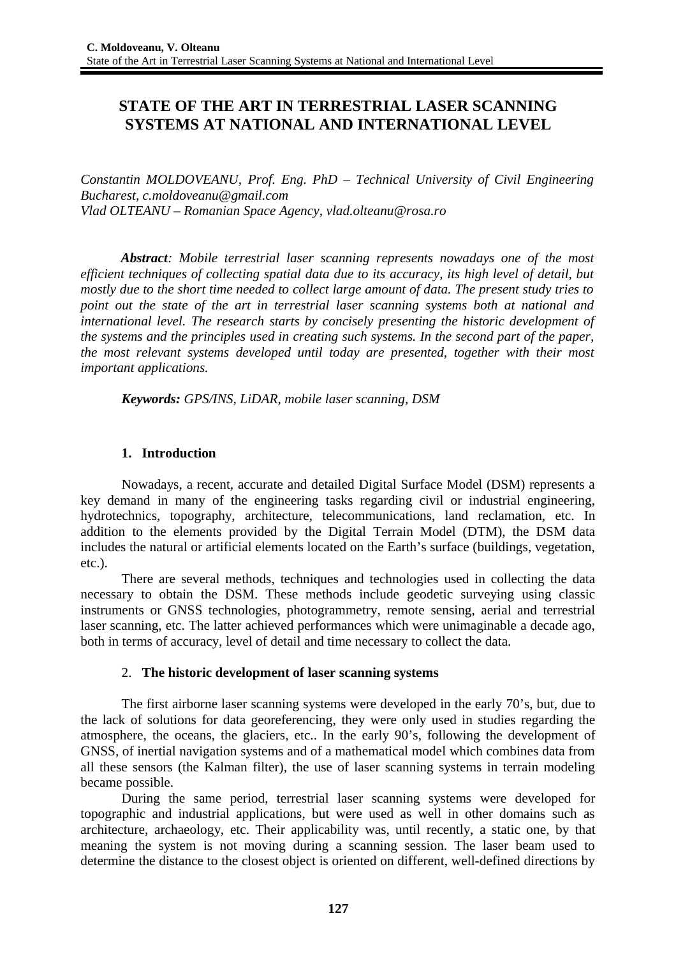# **STATE OF THE ART IN TERRESTRIAL LASER SCANNING SYSTEMS AT NATIONAL AND INTERNATIONAL LEVEL**

*Constantin MOLDOVEANU, Prof. Eng. PhD – Technical University of Civil Engineering Bucharest, c.moldoveanu@gmail.com Vlad OLTEANU – Romanian Space Agency, vlad.olteanu@rosa.ro*

*Abstract: Mobile terrestrial laser scanning represents nowadays one of the most efficient techniques of collecting spatial data due to its accuracy, its high level of detail, but mostly due to the short time needed to collect large amount of data. The present study tries to point out the state of the art in terrestrial laser scanning systems both at national and international level. The research starts by concisely presenting the historic development of the systems and the principles used in creating such systems. In the second part of the paper, the most relevant systems developed until today are presented, together with their most important applications.*

*Keywords: GPS/INS, LiDAR, mobile laser scanning, DSM*

# **1. Introduction**

Nowadays, a recent, accurate and detailed Digital Surface Model (DSM) represents a key demand in many of the engineering tasks regarding civil or industrial engineering, hydrotechnics, topography, architecture, telecommunications, land reclamation, etc. In addition to the elements provided by the Digital Terrain Model (DTM), the DSM data includes the natural or artificial elements located on the Earth's surface (buildings, vegetation, etc.).

There are several methods, techniques and technologies used in collecting the data necessary to obtain the DSM. These methods include geodetic surveying using classic instruments or GNSS technologies, photogrammetry, remote sensing, aerial and terrestrial laser scanning, etc. The latter achieved performances which were unimaginable a decade ago, both in terms of accuracy, level of detail and time necessary to collect the data.

## 2. **The historic development of laser scanning systems**

The first airborne laser scanning systems were developed in the early 70's, but, due to the lack of solutions for data georeferencing, they were only used in studies regarding the atmosphere, the oceans, the glaciers, etc.. In the early 90's, following the development of GNSS, of inertial navigation systems and of a mathematical model which combines data from all these sensors (the Kalman filter), the use of laser scanning systems in terrain modeling became possible.

During the same period, terrestrial laser scanning systems were developed for topographic and industrial applications, but were used as well in other domains such as architecture, archaeology, etc. Their applicability was, until recently, a static one, by that meaning the system is not moving during a scanning session. The laser beam used to determine the distance to the closest object is oriented on different, well-defined directions by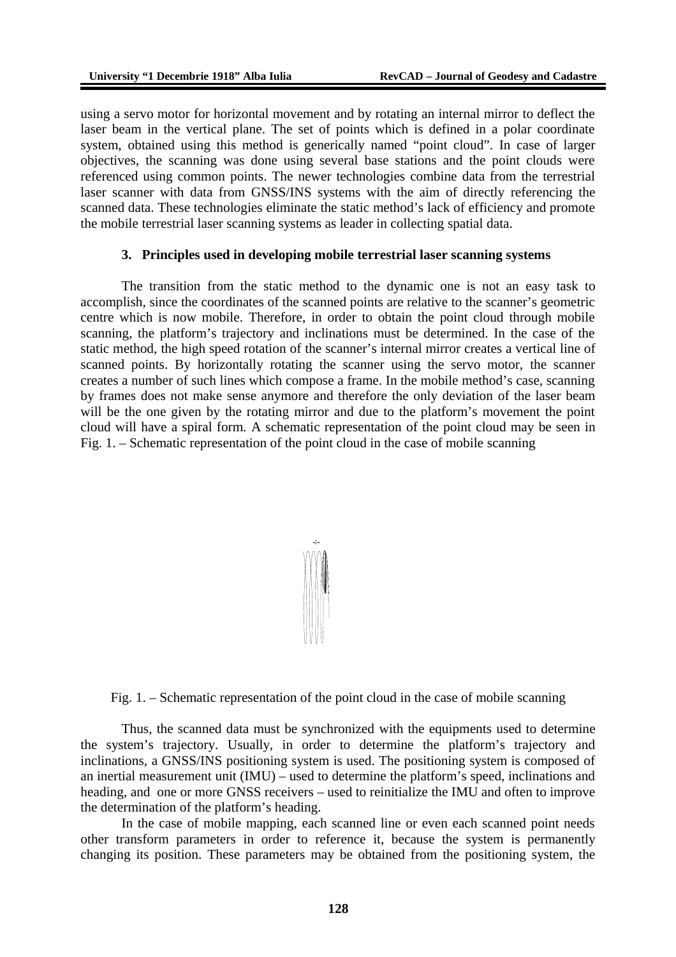using a servo motor for horizontal movement and by rotating an internal mirror to deflect the laser beam in the vertical plane. The set of points which is defined in a polar coordinate system, obtained using this method is generically named "point cloud". In case of larger objectives, the scanning was done using several base stations and the point clouds were referenced using common points. The newer technologies combine data from the terrestrial laser scanner with data from GNSS/INS systems with the aim of directly referencing the scanned data. These technologies eliminate the static method's lack of efficiency and promote the mobile terrestrial laser scanning systems as leader in collecting spatial data.

#### **3. Principles used in developing mobile terrestrial laser scanning systems**

The transition from the static method to the dynamic one is not an easy task to accomplish, since the coordinates of the scanned points are relative to the scanner's geometric centre which is now mobile. Therefore, in order to obtain the point cloud through mobile scanning, the platform's trajectory and inclinations must be determined. In the case of the static method, the high speed rotation of the scanner's internal mirror creates a vertical line of scanned points. By horizontally rotating the scanner using the servo motor, the scanner creates a number of such lines which compose a frame. In the mobile method's case, scanning by frames does not make sense anymore and therefore the only deviation of the laser beam will be the one given by the rotating mirror and due to the platform's movement the point cloud will have a spiral form. A schematic representation of the point cloud may be seen in [Fig. 1. – Schematic representation of the point cloud in the case of mobile scanning](#page-1-0)



<span id="page-1-0"></span>Fig. 1. – Schematic representation of the point cloud in the case of mobile scanning

Thus, the scanned data must be synchronized with the equipments used to determine the system's trajectory. Usually, in order to determine the platform's trajectory and inclinations, a GNSS/INS positioning system is used. The positioning system is composed of an inertial measurement unit (IMU) – used to determine the platform's speed, inclinations and heading, and one or more GNSS receivers – used to reinitialize the IMU and often to improve the determination of the platform's heading.

In the case of mobile mapping, each scanned line or even each scanned point needs other transform parameters in order to reference it, because the system is permanently changing its position. These parameters may be obtained from the positioning system, the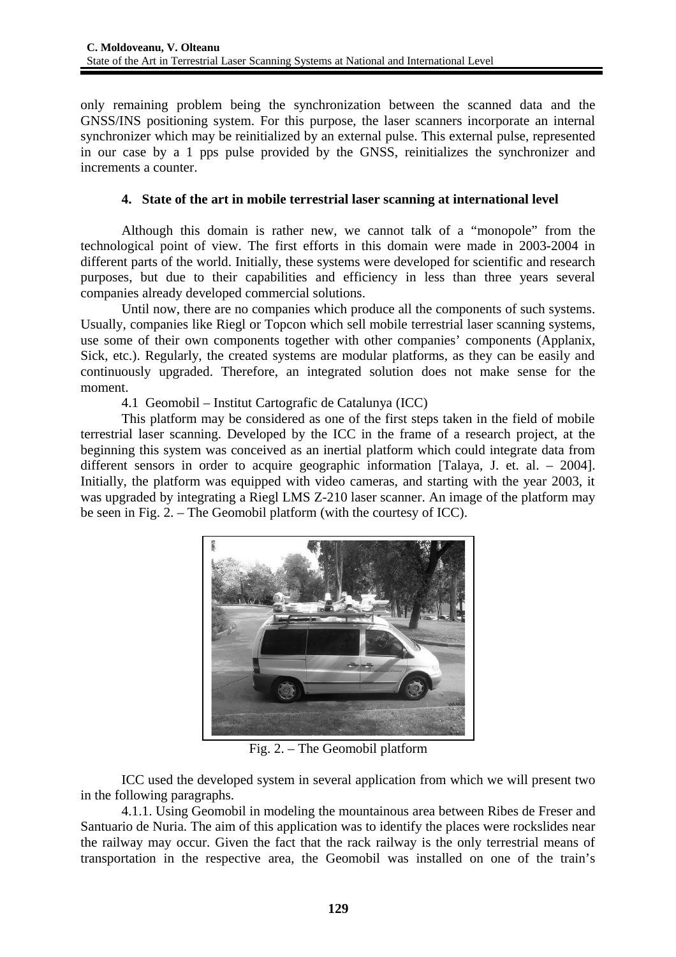only remaining problem being the synchronization between the scanned data and the GNSS/INS positioning system. For this purpose, the laser scanners incorporate an internal synchronizer which may be reinitialized by an external pulse. This external pulse, represented in our case by a 1 pps pulse provided by the GNSS, reinitializes the synchronizer and increments a counter.

# **4. State of the art in mobile terrestrial laser scanning at international level**

Although this domain is rather new, we cannot talk of a "monopole" from the technological point of view. The first efforts in this domain were made in 2003-2004 in different parts of the world. Initially, these systems were developed for scientific and research purposes, but due to their capabilities and efficiency in less than three years several companies already developed commercial solutions.

Until now, there are no companies which produce all the components of such systems. Usually, companies like Riegl or Topcon which sell mobile terrestrial laser scanning systems, use some of their own components together with other companies' components (Applanix, Sick, etc.). Regularly, the created systems are modular platforms, as they can be easily and continuously upgraded. Therefore, an integrated solution does not make sense for the moment.

4.1 Geomobil – Institut Cartografic de Catalunya (ICC)

This platform may be considered as one of the first steps taken in the field of mobile terrestrial laser scanning. Developed by the ICC in the frame of a research project, at the beginning this system was conceived as an inertial platform which could integrate data from different sensors in order to acquire geographic information [Talaya, J. et. al. – 2004]. Initially, the platform was equipped with video cameras, and starting with the year 2003, it was upgraded by integrating a Riegl LMS Z-210 laser scanner. An image of the platform may be seen in [Fig. 2. – The Geomobil platform](#page-2-0) (with the courtesy of ICC).



Fig. 2. – The Geomobil platform

<span id="page-2-0"></span>ICC used the developed system in several application from which we will present two in the following paragraphs.

4.1.1. Using Geomobil in modeling the mountainous area between Ribes de Freser and Santuario de Nuria. The aim of this application was to identify the places were rockslides near the railway may occur. Given the fact that the rack railway is the only terrestrial means of transportation in the respective area, the Geomobil was installed on one of the train's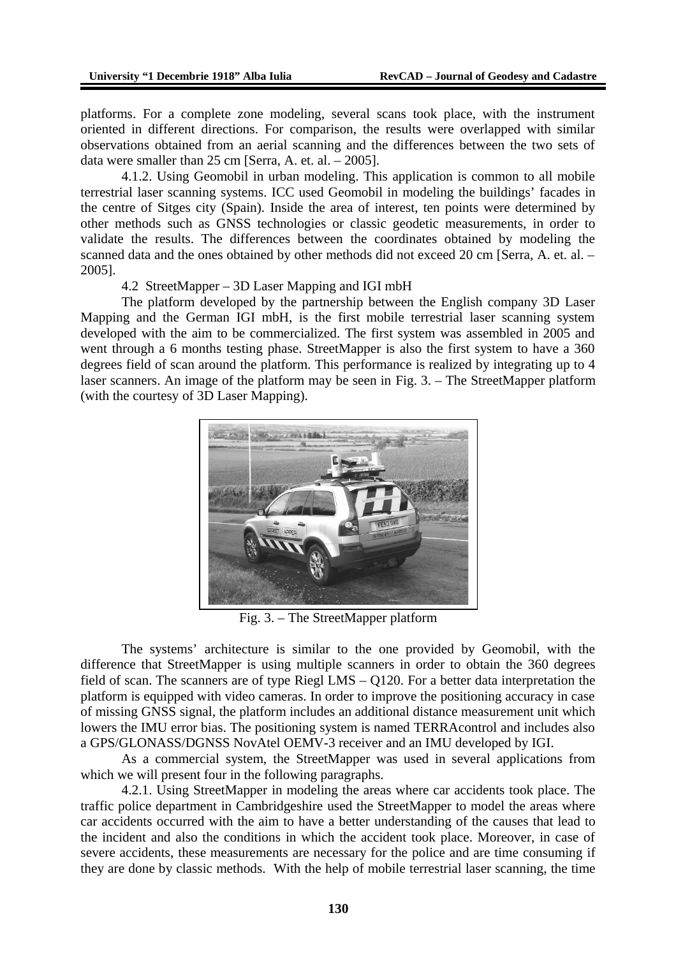platforms. For a complete zone modeling, several scans took place, with the instrument oriented in different directions. For comparison, the results were overlapped with similar observations obtained from an aerial scanning and the differences between the two sets of data were smaller than 25 cm [Serra, A. et. al. – 2005].

4.1.2. Using Geomobil in urban modeling. This application is common to all mobile terrestrial laser scanning systems. ICC used Geomobil in modeling the buildings' facades in the centre of Sitges city (Spain). Inside the area of interest, ten points were determined by other methods such as GNSS technologies or classic geodetic measurements, in order to validate the results. The differences between the coordinates obtained by modeling the scanned data and the ones obtained by other methods did not exceed 20 cm [Serra, A. et. al. – 2005].

4.2 StreetMapper – 3D Laser Mapping and IGI mbH

The platform developed by the partnership between the English company 3D Laser Mapping and the German IGI mbH, is the first mobile terrestrial laser scanning system developed with the aim to be commercialized. The first system was assembled in 2005 and went through a 6 months testing phase. StreetMapper is also the first system to have a 360 degrees field of scan around the platform. This performance is realized by integrating up to 4 laser scanners. An image of the platform may be seen in [Fig. 3. – The StreetMapper platform](#page-3-0) (with the courtesy of 3D Laser Mapping).



Fig. 3. – The StreetMapper platform

<span id="page-3-0"></span>The systems' architecture is similar to the one provided by Geomobil, with the difference that StreetMapper is using multiple scanners in order to obtain the 360 degrees field of scan. The scanners are of type Riegl LMS – Q120. For a better data interpretation the platform is equipped with video cameras. In order to improve the positioning accuracy in case of missing GNSS signal, the platform includes an additional distance measurement unit which lowers the IMU error bias. The positioning system is named TERRAcontrol and includes also a GPS/GLONASS/DGNSS NovAtel OEMV-3 receiver and an IMU developed by IGI.

As a commercial system, the StreetMapper was used in several applications from which we will present four in the following paragraphs.

4.2.1. Using StreetMapper in modeling the areas where car accidents took place. The traffic police department in Cambridgeshire used the StreetMapper to model the areas where car accidents occurred with the aim to have a better understanding of the causes that lead to the incident and also the conditions in which the accident took place. Moreover, in case of severe accidents, these measurements are necessary for the police and are time consuming if they are done by classic methods. With the help of mobile terrestrial laser scanning, the time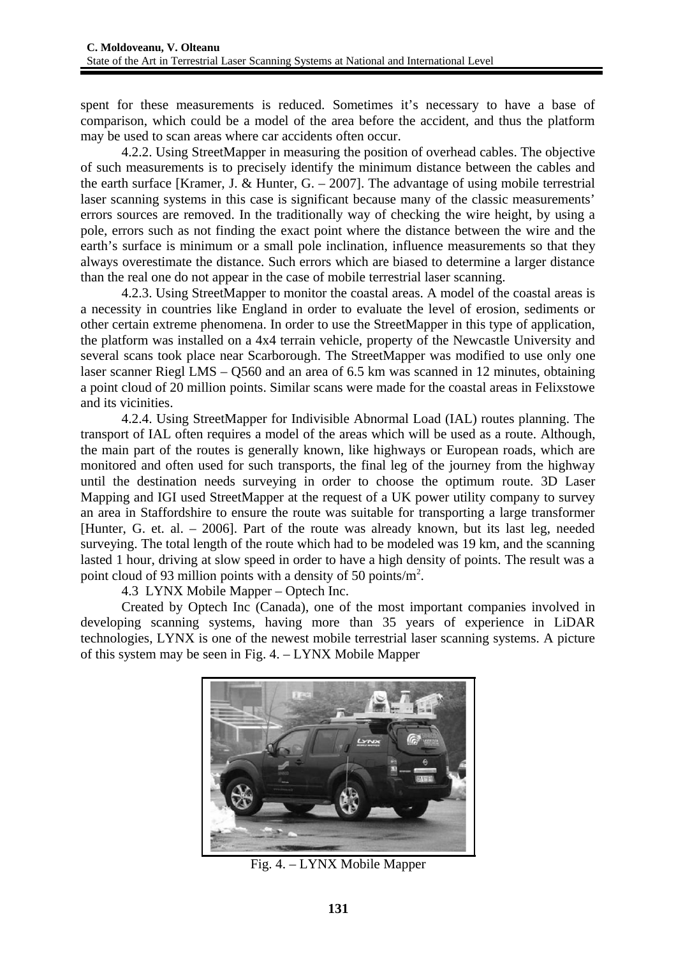spent for these measurements is reduced. Sometimes it's necessary to have a base of comparison, which could be a model of the area before the accident, and thus the platform may be used to scan areas where car accidents often occur.

4.2.2. Using StreetMapper in measuring the position of overhead cables. The objective of such measurements is to precisely identify the minimum distance between the cables and the earth surface [Kramer, J. & Hunter,  $G. - 2007$ ]. The advantage of using mobile terrestrial laser scanning systems in this case is significant because many of the classic measurements' errors sources are removed. In the traditionally way of checking the wire height, by using a pole, errors such as not finding the exact point where the distance between the wire and the earth's surface is minimum or a small pole inclination, influence measurements so that they always overestimate the distance. Such errors which are biased to determine a larger distance than the real one do not appear in the case of mobile terrestrial laser scanning.

4.2.3. Using StreetMapper to monitor the coastal areas. A model of the coastal areas is a necessity in countries like England in order to evaluate the level of erosion, sediments or other certain extreme phenomena. In order to use the StreetMapper in this type of application, the platform was installed on a 4x4 terrain vehicle, property of the Newcastle University and several scans took place near Scarborough. The StreetMapper was modified to use only one laser scanner Riegl LMS – Q560 and an area of 6.5 km was scanned in 12 minutes, obtaining a point cloud of 20 million points. Similar scans were made for the coastal areas in Felixstowe and its vicinities.

4.2.4. Using StreetMapper for Indivisible Abnormal Load (IAL) routes planning. The transport of IAL often requires a model of the areas which will be used as a route. Although, the main part of the routes is generally known, like highways or European roads, which are monitored and often used for such transports, the final leg of the journey from the highway until the destination needs surveying in order to choose the optimum route. 3D Laser Mapping and IGI used StreetMapper at the request of a UK power utility company to survey an area in Staffordshire to ensure the route was suitable for transporting a large transformer [Hunter, G. et. al. – 2006]. Part of the route was already known, but its last leg, needed surveying. The total length of the route which had to be modeled was 19 km, and the scanning lasted 1 hour, driving at slow speed in order to have a high density of points. The result was a point cloud of 93 million points with a density of 50 points/m<sup>2</sup>.

4.3 LYNX Mobile Mapper – Optech Inc.

Created by Optech Inc (Canada), one of the most important companies involved in developing scanning systems, having more than 35 years of experience in LiDAR technologies, LYNX is one of the newest mobile terrestrial laser scanning systems. A picture of this system may be seen in [Fig. 4. – LYNX Mobile Mapper](#page-4-0)

<span id="page-4-0"></span>

Fig. 4. – LYNX Mobile Mapper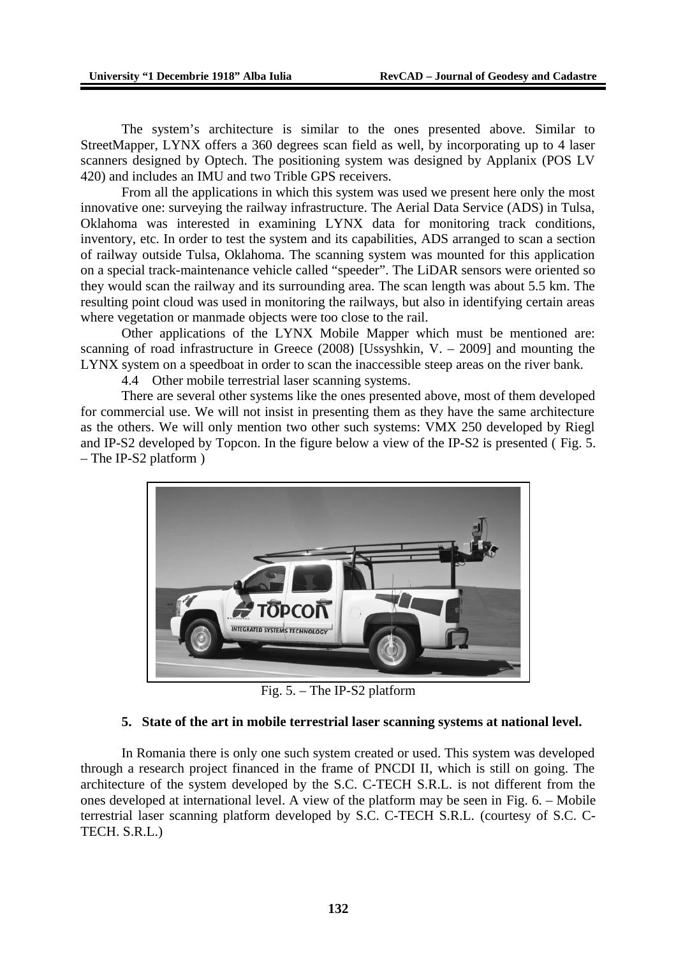The system's architecture is similar to the ones presented above. Similar to StreetMapper, LYNX offers a 360 degrees scan field as well, by incorporating up to 4 laser scanners designed by Optech. The positioning system was designed by Applanix (POS LV 420) and includes an IMU and two Trible GPS receivers.

From all the applications in which this system was used we present here only the most innovative one: surveying the railway infrastructure. The Aerial Data Service (ADS) in Tulsa, Oklahoma was interested in examining LYNX data for monitoring track conditions, inventory, etc. In order to test the system and its capabilities, ADS arranged to scan a section of railway outside Tulsa, Oklahoma. The scanning system was mounted for this application on a special track-maintenance vehicle called "speeder". The LiDAR sensors were oriented so they would scan the railway and its surrounding area. The scan length was about 5.5 km. The resulting point cloud was used in monitoring the railways, but also in identifying certain areas where vegetation or manmade objects were too close to the rail.

Other applications of the LYNX Mobile Mapper which must be mentioned are: scanning of road infrastructure in Greece (2008) [Ussyshkin, V. – 2009] and mounting the LYNX system on a speedboat in order to scan the inaccessible steep areas on the river bank.

4.4 Other mobile terrestrial laser scanning systems.

There are several other systems like the ones presented above, most of them developed for commercial use. We will not insist in presenting them as they have the same architecture as the others. We will only mention two other such systems: VMX 250 developed by Riegl and IP-S2 developed by Topcon. In the figure below a view of the IP-S2 is presented ( [Fig. 5.](#page-5-0) [– The IP-S2 platform](#page-5-0) )



Fig. 5. – The IP-S2 platform

#### <span id="page-5-0"></span>**5. State of the art in mobile terrestrial laser scanning systems at national level.**

In Romania there is only one such system created or used. This system was developed through a research project financed in the frame of PNCDI II, which is still on going. The architecture of the system developed by the S.C. C-TECH S.R.L. is not different from the ones developed at international level. A view of the platform may be seen in [Fig. 6. – Mobile](#page-6-0) [terrestrial laser scanning platform developed by S.C. C-TECH S.R.L.](#page-6-0) (courtesy of S.C. C-TECH. S.R.L.)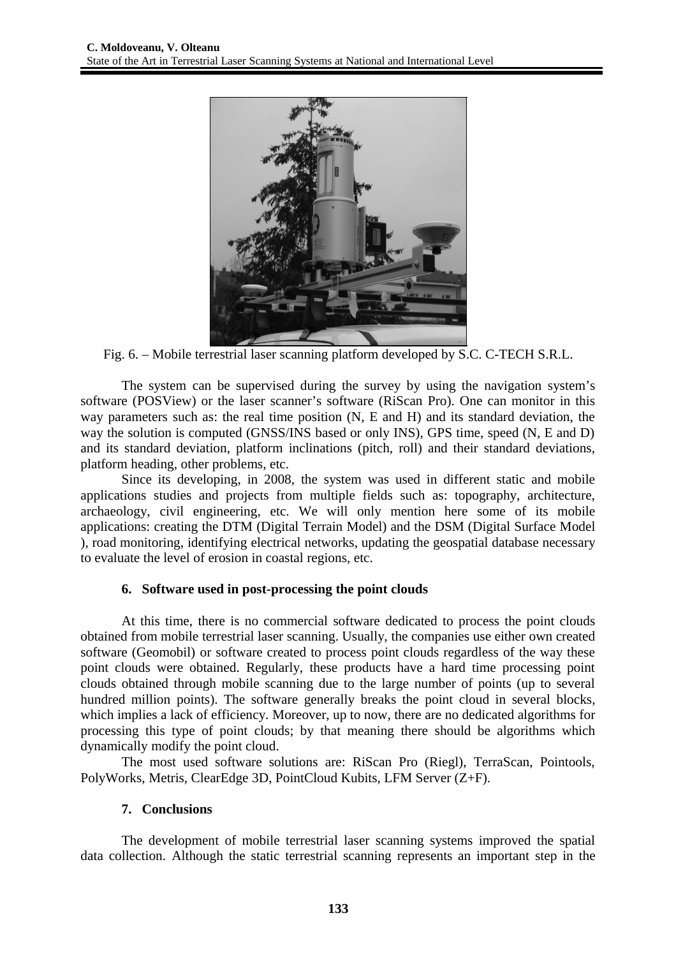

Fig. 6. – Mobile terrestrial laser scanning platform developed by S.C. C-TECH S.R.L.

<span id="page-6-0"></span>The system can be supervised during the survey by using the navigation system's software (POSView) or the laser scanner's software (RiScan Pro). One can monitor in this way parameters such as: the real time position (N, E and H) and its standard deviation, the way the solution is computed (GNSS/INS based or only INS), GPS time, speed (N, E and D) and its standard deviation, platform inclinations (pitch, roll) and their standard deviations, platform heading, other problems, etc.

Since its developing, in 2008, the system was used in different static and mobile applications studies and projects from multiple fields such as: topography, architecture, archaeology, civil engineering, etc. We will only mention here some of its mobile applications: creating the DTM (Digital Terrain Model) and the DSM (Digital Surface Model ), road monitoring, identifying electrical networks, updating the geospatial database necessary to evaluate the level of erosion in coastal regions, etc.

# **6. Software used in post-processing the point clouds**

At this time, there is no commercial software dedicated to process the point clouds obtained from mobile terrestrial laser scanning. Usually, the companies use either own created software (Geomobil) or software created to process point clouds regardless of the way these point clouds were obtained. Regularly, these products have a hard time processing point clouds obtained through mobile scanning due to the large number of points (up to several hundred million points). The software generally breaks the point cloud in several blocks, which implies a lack of efficiency. Moreover, up to now, there are no dedicated algorithms for processing this type of point clouds; by that meaning there should be algorithms which dynamically modify the point cloud.

The most used software solutions are: RiScan Pro (Riegl), TerraScan, Pointools, PolyWorks, Metris, ClearEdge 3D, PointCloud Kubits, LFM Server (Z+F).

## **7. Conclusions**

The development of mobile terrestrial laser scanning systems improved the spatial data collection. Although the static terrestrial scanning represents an important step in the